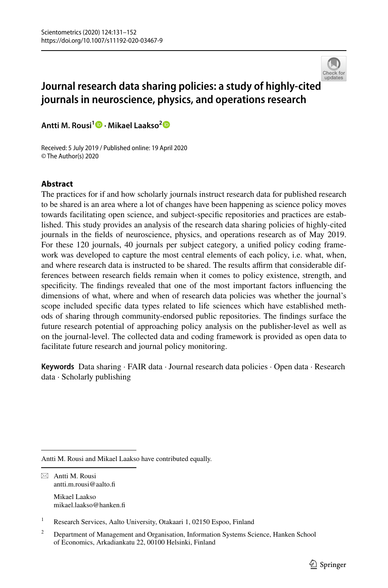

# **Journal research data sharing policies: a study of highly‑cite[d](http://crossmark.crossref.org/dialog/?doi=10.1007/s11192-020-03467-9&domain=pdf)  journals in neuroscience, physics, and operations research**

**Antti M. Rousi1 · Mikael Laakso[2](http://orcid.org/0000-0003-3951-7990)**

Received: 5 July 2019 / Published online: 19 April 2020 © The Author(s) 2020

# **Abstract**

The practices for if and how scholarly journals instruct research data for published research to be shared is an area where a lot of changes have been happening as science policy moves towards facilitating open science, and subject-specifc repositories and practices are established. This study provides an analysis of the research data sharing policies of highly-cited journals in the felds of neuroscience, physics, and operations research as of May 2019. For these 120 journals, 40 journals per subject category, a unifed policy coding framework was developed to capture the most central elements of each policy, i.e. what, when, and where research data is instructed to be shared. The results afrm that considerable differences between research felds remain when it comes to policy existence, strength, and specifcity. The fndings revealed that one of the most important factors infuencing the dimensions of what, where and when of research data policies was whether the journal's scope included specifc data types related to life sciences which have established methods of sharing through community-endorsed public repositories. The fndings surface the future research potential of approaching policy analysis on the publisher-level as well as on the journal-level. The collected data and coding framework is provided as open data to facilitate future research and journal policy monitoring.

**Keywords** Data sharing · FAIR data · Journal research data policies · Open data · Research data · Scholarly publishing

Antti M. Rousi and Mikael Laakso have contributed equally.

 $\boxtimes$  Antti M. Rousi antti.m.rousi@aalto.f

> Mikael Laakso mikael.laakso@hanken.f

<sup>&</sup>lt;sup>1</sup> Research Services, Aalto University, Otakaari 1, 02150 Espoo, Finland

<sup>&</sup>lt;sup>2</sup> Department of Management and Organisation, Information Systems Science, Hanken School of Economics, Arkadiankatu 22, 00100 Helsinki, Finland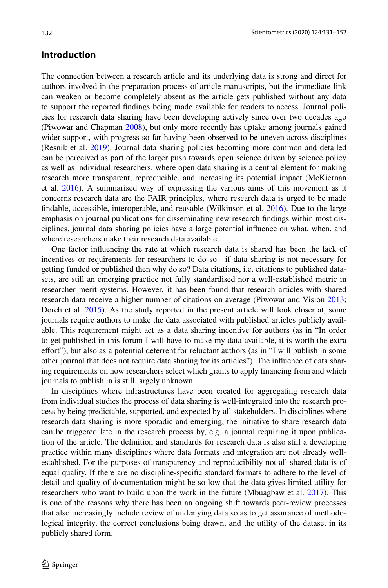# **Introduction**

The connection between a research article and its underlying data is strong and direct for authors involved in the preparation process of article manuscripts, but the immediate link can weaken or become completely absent as the article gets published without any data to support the reported fndings being made available for readers to access. Journal policies for research data sharing have been developing actively since over two decades ago (Piwowar and Chapman [2008](#page-21-0)), but only more recently has uptake among journals gained wider support, with progress so far having been observed to be uneven across disciplines (Resnik et al. [2019](#page-21-1)). Journal data sharing policies becoming more common and detailed can be perceived as part of the larger push towards open science driven by science policy as well as individual researchers, where open data sharing is a central element for making research more transparent, reproducible, and increasing its potential impact (McKiernan et al.  $2016$ ). A summarised way of expressing the various aims of this movement as it concerns research data are the FAIR principles, where research data is urged to be made fndable, accessible, interoperable, and reusable (Wilkinson et al. [2016](#page-21-3)). Due to the large emphasis on journal publications for disseminating new research fndings within most disciplines, journal data sharing policies have a large potential infuence on what, when, and where researchers make their research data available.

One factor infuencing the rate at which research data is shared has been the lack of incentives or requirements for researchers to do so—if data sharing is not necessary for getting funded or published then why do so? Data citations, i.e. citations to published datasets, are still an emerging practice not fully standardised nor a well-established metric in researcher merit systems. However, it has been found that research articles with shared research data receive a higher number of citations on average (Piwowar and Vision [2013](#page-21-4); Dorch et al. [2015](#page-20-0)). As the study reported in the present article will look closer at, some journals require authors to make the data associated with published articles publicly available. This requirement might act as a data sharing incentive for authors (as in "In order to get published in this forum I will have to make my data available, it is worth the extra efort"), but also as a potential deterrent for reluctant authors (as in "I will publish in some other journal that does not require data sharing for its articles"). The infuence of data sharing requirements on how researchers select which grants to apply fnancing from and which journals to publish in is still largely unknown.

In disciplines where infrastructures have been created for aggregating research data from individual studies the process of data sharing is well-integrated into the research process by being predictable, supported, and expected by all stakeholders. In disciplines where research data sharing is more sporadic and emerging, the initiative to share research data can be triggered late in the research process by, e.g. a journal requiring it upon publication of the article. The defnition and standards for research data is also still a developing practice within many disciplines where data formats and integration are not already wellestablished. For the purposes of transparency and reproducibility not all shared data is of equal quality. If there are no discipline-specifc standard formats to adhere to the level of detail and quality of documentation might be so low that the data gives limited utility for researchers who want to build upon the work in the future (Mbuagbaw et al. [2017](#page-21-5)). This is one of the reasons why there has been an ongoing shift towards peer-review processes that also increasingly include review of underlying data so as to get assurance of methodological integrity, the correct conclusions being drawn, and the utility of the dataset in its publicly shared form.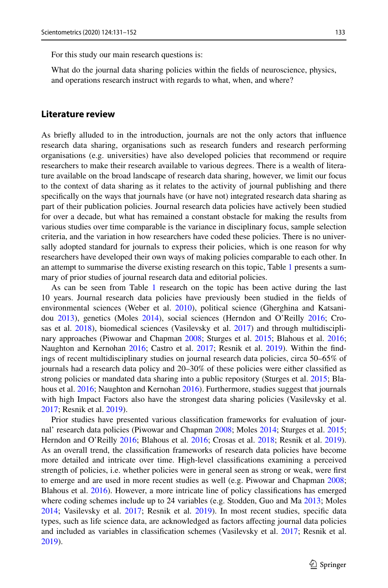For this study our main research questions is:

What do the journal data sharing policies within the felds of neuroscience, physics, and operations research instruct with regards to what, when, and where?

### **Literature review**

As briefy alluded to in the introduction, journals are not the only actors that infuence research data sharing, organisations such as research funders and research performing organisations (e.g. universities) have also developed policies that recommend or require researchers to make their research available to various degrees. There is a wealth of literature available on the broad landscape of research data sharing, however, we limit our focus to the context of data sharing as it relates to the activity of journal publishing and there specifcally on the ways that journals have (or have not) integrated research data sharing as part of their publication policies. Journal research data policies have actively been studied for over a decade, but what has remained a constant obstacle for making the results from various studies over time comparable is the variance in disciplinary focus, sample selection criteria, and the variation in how researchers have coded these policies. There is no universally adopted standard for journals to express their policies, which is one reason for why researchers have developed their own ways of making policies comparable to each other. In an attempt to summarise the diverse existing research on this topic, Table [1](#page-3-0) presents a summary of prior studies of journal research data and editorial policies.

As can be seen from Table [1](#page-3-0) research on the topic has been active during the last 10 years. Journal research data policies have previously been studied in the felds of environmental sciences (Weber et al. [2010](#page-21-6)), political science (Gherghina and Katsanidou [2013](#page-20-1)), genetics (Moles [2014](#page-21-7)), social sciences (Herndon and O'Reilly [2016](#page-20-2); Cro-sas et al. [2018](#page-20-3)), biomedical sciences (Vasilevsky et al. [2017](#page-21-8)) and through multidisciplinary approaches (Piwowar and Chapman [2008;](#page-21-0) Sturges et al. [2015;](#page-21-9) Blahous et al. [2016;](#page-20-4) Naughton and Kernohan [2016](#page-21-10); Castro et al. [2017;](#page-20-5) Resnik et al. [2019](#page-21-1)). Within the findings of recent multidisciplinary studies on journal research data policies, circa 50–65% of journals had a research data policy and 20–30% of these policies were either classifed as strong policies or mandated data sharing into a public repository (Sturges et al. [2015;](#page-21-9) Bla-hous et al. [2016;](#page-20-4) Naughton and Kernohan [2016\)](#page-21-10). Furthermore, studies suggest that journals with high Impact Factors also have the strongest data sharing policies (Vasilevsky et al. [2017;](#page-21-8) Resnik et al. [2019](#page-21-1)).

Prior studies have presented various classifcation frameworks for evaluation of journal' research data policies (Piwowar and Chapman [2008;](#page-21-0) Moles [2014](#page-21-7); Sturges et al. [2015;](#page-21-9) Herndon and O'Reilly [2016;](#page-20-2) Blahous et al. [2016;](#page-20-4) Crosas et al. [2018](#page-20-3); Resnik et al. [2019](#page-21-1)). As an overall trend, the classifcation frameworks of research data policies have become more detailed and intricate over time. High-level classifcations examining a perceived strength of policies, i.e. whether policies were in general seen as strong or weak, were frst to emerge and are used in more recent studies as well (e.g. Piwowar and Chapman [2008;](#page-21-0) Blahous et al. [2016\)](#page-20-4). However, a more intricate line of policy classifcations has emerged where coding schemes include up to 24 variables (e.g. Stodden, Guo and Ma [2013;](#page-21-11) Moles [2014;](#page-21-7) Vasilevsky et al. [2017](#page-21-8); Resnik et al. [2019](#page-21-1)). In most recent studies, specifc data types, such as life science data, are acknowledged as factors afecting journal data policies and included as variables in classifcation schemes (Vasilevsky et al. [2017;](#page-21-8) Resnik et al. [2019\)](#page-21-1).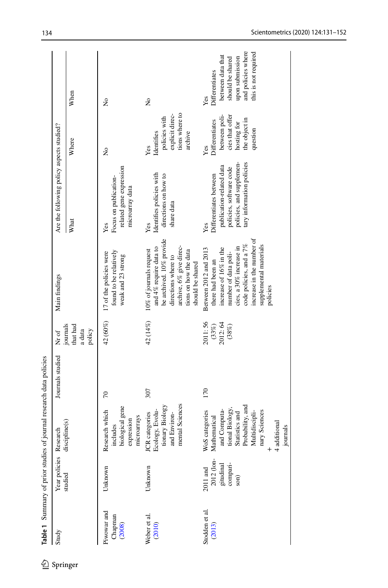<span id="page-3-0"></span>

| Study                            | Year policies                                           | Research                                                                                                                                                                                     | Journals studied | Nr of                                      | Main findings                                                                                                                                                                                                         | Are the following policy aspects studied?                                                                                                     |                                                                                                       |                                                                                                                                 |
|----------------------------------|---------------------------------------------------------|----------------------------------------------------------------------------------------------------------------------------------------------------------------------------------------------|------------------|--------------------------------------------|-----------------------------------------------------------------------------------------------------------------------------------------------------------------------------------------------------------------------|-----------------------------------------------------------------------------------------------------------------------------------------------|-------------------------------------------------------------------------------------------------------|---------------------------------------------------------------------------------------------------------------------------------|
|                                  | studied                                                 | discipline(s)                                                                                                                                                                                |                  | journals<br>that had<br>a data<br>policy   |                                                                                                                                                                                                                       | What                                                                                                                                          | Where                                                                                                 | When                                                                                                                            |
| Piwowar and<br>Chapman<br>(2008) | Unknown                                                 | includes<br>biological gene<br>Research which<br>microarrays<br>expression                                                                                                                   | $\overline{70}$  | 42 (60%)                                   | found to be relatively<br>17 of the policies were<br>weak and 23 strong                                                                                                                                               | related gene expression<br>Focus on publication-<br>microarray data<br>Yes                                                                    | Σò                                                                                                    | $\tilde{z}$                                                                                                                     |
| Weber et al.<br>(2010)           | Unknown                                                 | mental Sciences<br>tionary Biology<br>JCR categories<br>Ecology, Evolu-<br>and Environ-                                                                                                      | 307              | 42 (14%)                                   | be archived. 10% provide<br>and 4% require data to<br>archive, 6% give direc-<br>10% of journals request<br>tions on how the data<br>directions where to<br>should be shared                                          | Identifies policies with<br>directions on how to<br>share data<br>Yes                                                                         | tions where to<br>explicit direc-<br>policies with<br>Identifies<br>archive<br>Yes                    | $\tilde{z}$                                                                                                                     |
| Stodden et al.<br>$(2013)$       | 2012 (lon-<br>gitudinal<br>compari-<br>son)<br>2011 and | Statistics and<br>Probability, and<br>Multidiscipli-<br>tional Biology,<br>WoS categories<br>Mathematical<br>and Computa-<br>nary Sciences<br>+<br>4 additional<br>$\frac{4}{3}$<br>journals | 170              | 2011:56<br>$(33%)$<br>2012: 64<br>$(38\%)$ | increase in the number of<br>supplemental materials<br>code policies, and a 7%<br>cies, a 30% increase in<br>Between 2012 and 2013<br>increase of 16% in the<br>number of data poli-<br>there had been an<br>policies | tary information policies<br>policies, and supplemen-<br>publication-related data<br>policies, software code<br>Differentiates between<br>Yes | between poli-<br>cies that offer<br>the object in<br>Differentiates<br>hosting for<br>question<br>Yes | and policies where<br>this is not required<br>between data that<br>upon submission<br>should be shared<br>Differentiates<br>Yes |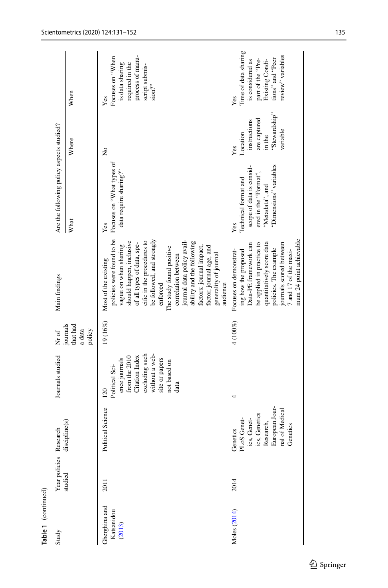| Table 1 (continued)                   |                        |                                                                                                                                    |                                                                                                                                                         |                                          |                                                                                                                                                                                                                                                                                                                                                                                                                        |                                                                                                                               |                                                                                        |                                                                                                                                  |
|---------------------------------------|------------------------|------------------------------------------------------------------------------------------------------------------------------------|---------------------------------------------------------------------------------------------------------------------------------------------------------|------------------------------------------|------------------------------------------------------------------------------------------------------------------------------------------------------------------------------------------------------------------------------------------------------------------------------------------------------------------------------------------------------------------------------------------------------------------------|-------------------------------------------------------------------------------------------------------------------------------|----------------------------------------------------------------------------------------|----------------------------------------------------------------------------------------------------------------------------------|
| Study                                 | Year policies Research |                                                                                                                                    | Journals studied                                                                                                                                        | Nr of                                    | Main findings                                                                                                                                                                                                                                                                                                                                                                                                          | Are the following policy aspects studied?                                                                                     |                                                                                        |                                                                                                                                  |
|                                       | studied                | discipline(s)                                                                                                                      |                                                                                                                                                         | journals<br>that had<br>a data<br>policy |                                                                                                                                                                                                                                                                                                                                                                                                                        | What                                                                                                                          | Where                                                                                  | When                                                                                                                             |
| Gherghina and<br>Katsanidou<br>(2013) | 2011                   | Political Science                                                                                                                  | excluding such<br>without a web-<br>Citation Index<br>from the 2010<br>site or papers<br>ence journals<br>not based on<br>Political Sci-<br>data<br>120 | 19 (16%)                                 | policies were found to be<br>be followed, and strongly<br>journal data policy avail-<br>cific in the procedures to<br>should happen, inclusive<br>ability and the following<br>of all types of data, spe-<br>vague on when sharing<br>The study found positive<br>factors: journal impact,<br>factor, journal age, and<br>generality of journal<br>correlation between<br>Most of the existing<br>audience<br>enforced | Focuses on "What types of<br>data require sharing?"<br>Yes                                                                    | ż                                                                                      | process of manu-<br>Focuses on "When<br>is data sharing<br>required in the<br>script submis-<br>sion?<br>Yes                     |
| Moles (2014)                          | 2014                   | PLoS Geneties, Geneties<br>ies, Geneties<br>ies, Geneties<br>Research,<br>European Jour-<br>nal of Medical<br>Genetics<br>Genetics |                                                                                                                                                         | 4 (100%)                                 | mum 24 point achievable<br>quantitatively score data<br>Data-PE framework can<br>be applied in practice to<br>journals scored between<br>policies. The example<br>Focuses on demonstrat-<br>ing how the proposed<br>7 and 17 of the maxi-                                                                                                                                                                              | "Dimensions" variables<br>scope of data is consid-<br>ered in the "Format",<br>Technical format and<br>"Metadata", and<br>Yes | "Stewardship"<br>are captured<br>instructions<br>variable<br>Location<br>in the<br>Yes | Time of data sharing<br>review" variables<br>tions" and "Peer<br>part of the "Pre-<br>is considered as<br>Existing Condi-<br>Yes |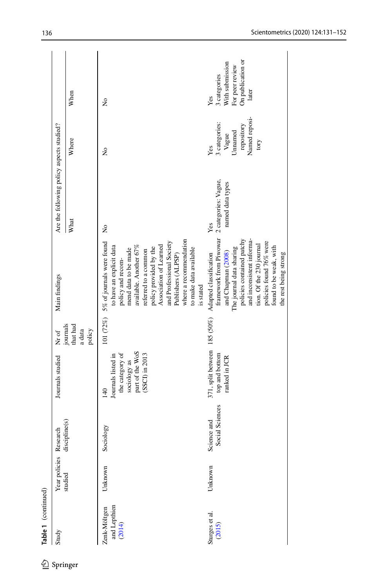| Study                                  | Year policies Research |                                | Journals studied                                                                                                 | Nr of                                    | Main findings                                                                                                                                                                                                                                                                                                               | Are the following policy aspects studied?       |                                                                                 |                                                                                         |
|----------------------------------------|------------------------|--------------------------------|------------------------------------------------------------------------------------------------------------------|------------------------------------------|-----------------------------------------------------------------------------------------------------------------------------------------------------------------------------------------------------------------------------------------------------------------------------------------------------------------------------|-------------------------------------------------|---------------------------------------------------------------------------------|-----------------------------------------------------------------------------------------|
|                                        | studied                | discipline(s)                  |                                                                                                                  | journals<br>that had<br>a data<br>policy |                                                                                                                                                                                                                                                                                                                             | What                                            | Where                                                                           | When                                                                                    |
| Zenk-Möltgen<br>and Lepthien<br>(2014) | Unknown                | Sociology                      | part of the WoS<br>the category of<br>$(SSCI)$ in $2013$<br>Journals listed in<br>sociology as<br>$\frac{40}{5}$ | 101 (72%)                                | where a recommendation<br>and Professional Society<br>5% of journals were found<br>available. Another 67%<br>Association of Learned<br>to have an explicit data<br>policy provided by the<br>to make data available<br>mend data to be made<br>referred to a common<br>Publishers (ALPSP)<br>policy and recom-<br>is stated | ż                                               | ż                                                                               | ż                                                                                       |
| Sturges et al.<br>$(2015)$             | Unknown                | Social Sciences<br>Science and | 371, split between 185 (50%)<br>top and bottom<br>ranked in JCR                                                  |                                          | framework from Piwowar<br>policies contained patchy<br>and inconsistent informa-<br>policies found 76% were<br>tion. Of the 230 journal<br>found to be weak, with<br>The journal data sharing<br>and Chapman (2008)<br>the rest being strong<br>Adapted classification                                                      | 2 categories: Vague,<br>named data types<br>Yes | Named reposi-<br>3 categories:<br>repository<br>Unnamed<br>Vague<br>tory<br>Yes | On publication or<br>With submission<br>For peer review<br>3 categories<br>later<br>Yes |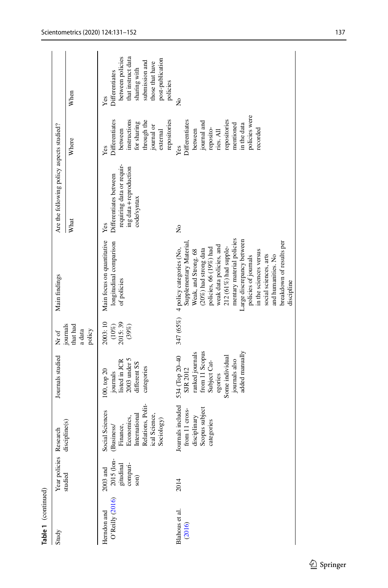| Table 1 (continued)            |                                                           |                                                                                                                              |                                                                                                                                                         |                                           |                                                                                                                                                                                                                                                                                                                                                                                                    |                                                                                                      |                                                                                                                                                    |                                                                                                                                                      |
|--------------------------------|-----------------------------------------------------------|------------------------------------------------------------------------------------------------------------------------------|---------------------------------------------------------------------------------------------------------------------------------------------------------|-------------------------------------------|----------------------------------------------------------------------------------------------------------------------------------------------------------------------------------------------------------------------------------------------------------------------------------------------------------------------------------------------------------------------------------------------------|------------------------------------------------------------------------------------------------------|----------------------------------------------------------------------------------------------------------------------------------------------------|------------------------------------------------------------------------------------------------------------------------------------------------------|
| Study                          | Year policies Research                                    |                                                                                                                              | Journals studied                                                                                                                                        | Nr of                                     | Main findings                                                                                                                                                                                                                                                                                                                                                                                      | Are the following policy aspects studied?                                                            |                                                                                                                                                    |                                                                                                                                                      |
|                                | studied                                                   | discipline(s)                                                                                                                |                                                                                                                                                         | journals<br>that had<br>a data<br>policy  |                                                                                                                                                                                                                                                                                                                                                                                                    | What                                                                                                 | Where                                                                                                                                              | When                                                                                                                                                 |
| O'Reilly (2016)<br>Herndon and | 2015 (lon-<br>gitudinal<br>compari-<br>son)<br>$2003$ and | Relations, Polit-<br>Social Sciences<br>International<br>ical Science,<br>Economics,<br>Sociology)<br>Finance,<br>(Business/ | 2003 under 5<br>listed in JCR<br>different SS<br>categories<br>100, top 20<br>journals                                                                  | 2003:10<br>$(10\%)$<br>$2015:39$<br>(39%) | Main focus on quantitative<br>longitudinal comparison<br>of policies                                                                                                                                                                                                                                                                                                                               | requiring data or requir-<br>ing data + reproduction<br>Differentiates between<br>code/syntax<br>Yes | Differentiates<br>instructions<br>repositories<br>through the<br>for sharing<br>${\rm\thinspace jound}$ or<br>between<br>external<br>Yes           | between policies<br>that instruct data<br>post-publication<br>submission and<br>those that have<br>sharing with<br>Differentiates<br>policies<br>Yes |
| Blahous et al.<br>(2016)       | 2014                                                      | Journals included<br>Scopus subject<br>from 11 cross-<br>disciplinary<br>categories                                          | ranked journals<br>from 11 Scopus<br>added manually<br>534 (Top 20-40<br>Some individual<br>journals also<br>Subject Cat-<br><b>SJR 2012</b><br>egories |                                           | mentary material policies<br>arge discrepancy between<br>breakdown of results per<br>Supplementary Material<br>weak data policies, and<br>policies, 66 (19%) had<br>212 (61%) had supple-<br>347 (65%) 4 policy categories (No,<br>$(20\%)$ had strong data<br>Weak, and Strong. 68<br>in the sciences versus<br>social sciences, arts<br>policies of journals<br>and humanities. No<br>discipline | ż                                                                                                    | policies were<br>Differentiates<br>repositories<br>journal and<br>mentioned<br>in the data<br>reposito-<br>between<br>recorded<br>ries. All<br>Yes | ż                                                                                                                                                    |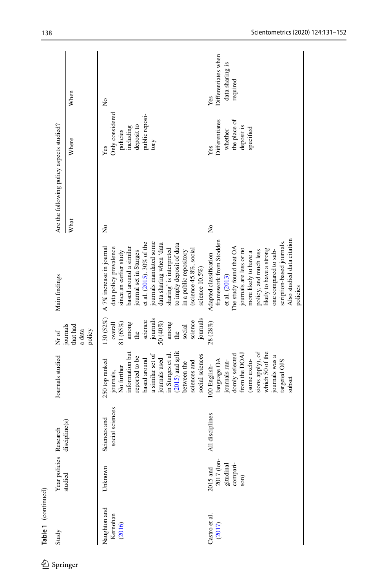| Study<br>Springer                  | Year policies Research                                    |                                 | Journals studied                                                                                                                                                                                                                | Nr of                                                                                                                                                    | Main findings                                                                                                                                                                                                                                                                                                                                         |             | Are the following policy aspects studied?                                               |                                                           |
|------------------------------------|-----------------------------------------------------------|---------------------------------|---------------------------------------------------------------------------------------------------------------------------------------------------------------------------------------------------------------------------------|----------------------------------------------------------------------------------------------------------------------------------------------------------|-------------------------------------------------------------------------------------------------------------------------------------------------------------------------------------------------------------------------------------------------------------------------------------------------------------------------------------------------------|-------------|-----------------------------------------------------------------------------------------|-----------------------------------------------------------|
|                                    | studied                                                   | discipline(s)                   |                                                                                                                                                                                                                                 | journals<br>that had<br>a data<br>policy                                                                                                                 |                                                                                                                                                                                                                                                                                                                                                       | What        | Where                                                                                   | When                                                      |
| Naughton and<br>Kernohan<br>(2016) | Unknown                                                   | social sciences<br>Sciences and | information but<br>$(2015)$ and split<br>a similar set of<br>in Sturges et al<br>social sciences<br>reported to be<br>journals used<br>based around<br>250 top ranked<br>sciences and<br>between the<br>No further<br>journals, | 130 (52%)<br>journals<br>journals<br>science<br>science<br>50 (40%)<br>81 (65%)<br>among<br>among<br>overall<br>social<br>$\overline{\text{the}}$<br>dhe | journals mandated some<br>et al. (2015). 30% of the<br>data sharing when 'data<br>to imply deposit of data<br>A 7% increase in journal<br>based around a similar<br>data policy prevalence<br>sharing' is interpreted<br>(science $45.8\%$ , social<br>in a public repository<br>since an earlier study<br>journal set in Sturges<br>science $10.5\%$ | ž           | Only considered<br>public reposi-<br>deposit to<br>including<br>policies<br>tory<br>Yes | $\tilde{z}$                                               |
| Castro et al.<br>(2017)            | 2017 (lon-<br>gitudinal<br>compari-<br>son)<br>$2015$ and | disciplines<br>₹                | which 50 of the<br>sions apply), of<br>domly selected<br>from the DOA1<br>journals was a<br>some exclu-<br>language OA<br>journals ran-<br>targeted OJS<br>100 English-<br>subset                                               | 28(28%)                                                                                                                                                  | Also studied data citation<br>framework from Stodden<br>scription-based journals.<br>The study found that OA<br>journals are less or no<br>likely to have a strong<br>policy, and much less<br>one compared to sub-<br>more likely to have a<br>Adapted classification<br>et al. (2013)<br>policies                                                   | $\tilde{z}$ | Differentiates<br>the place of<br>deposit is<br>specified<br>whether<br>Yes             | Differentiates when<br>data sharing is<br>required<br>Yes |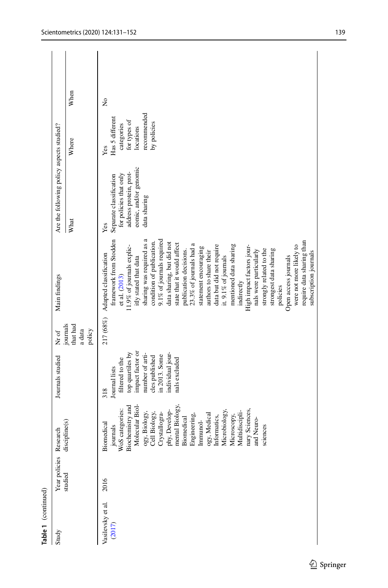| Table 1 (continued)         |                        |                                                                                                                                                                                                                                                                                                                                                     |                                                                                                                                                                                   |                                          |                                                                                                                                                                                                                                                                                                                                                                                                                                                                                                                                                                                                                                                                                                                          |                                                                                                                             |                                                                                                 |             |  |
|-----------------------------|------------------------|-----------------------------------------------------------------------------------------------------------------------------------------------------------------------------------------------------------------------------------------------------------------------------------------------------------------------------------------------------|-----------------------------------------------------------------------------------------------------------------------------------------------------------------------------------|------------------------------------------|--------------------------------------------------------------------------------------------------------------------------------------------------------------------------------------------------------------------------------------------------------------------------------------------------------------------------------------------------------------------------------------------------------------------------------------------------------------------------------------------------------------------------------------------------------------------------------------------------------------------------------------------------------------------------------------------------------------------------|-----------------------------------------------------------------------------------------------------------------------------|-------------------------------------------------------------------------------------------------|-------------|--|
| Study                       | Year policies Research |                                                                                                                                                                                                                                                                                                                                                     | Journals studied                                                                                                                                                                  | Nr of                                    | Main findings                                                                                                                                                                                                                                                                                                                                                                                                                                                                                                                                                                                                                                                                                                            | Are the following policy aspects studied?                                                                                   |                                                                                                 |             |  |
|                             | studied                | discipline(s)                                                                                                                                                                                                                                                                                                                                       |                                                                                                                                                                                   | journals<br>that had<br>a data<br>policy |                                                                                                                                                                                                                                                                                                                                                                                                                                                                                                                                                                                                                                                                                                                          | What                                                                                                                        | Where                                                                                           | When        |  |
| Vasilevsky et al.<br>(2017) | 2016                   | Molecular Biol-<br>journals<br>WoS categories:<br>Biochemistry and<br>phy, Develop-<br>mental Biology,<br>Biomedical<br>Engineering,<br>Engineering,<br>nary Sciences,<br>ogy, Medical<br>Informatics,<br>Microbiology,<br>Microscopy,<br>Multidiscipli-<br>ogy, Biology,<br>Cell Biology,<br>Crystallogra-<br>and Neuro-<br>Biomedical<br>sciences | top quartiles by<br>impact factor or<br>individual jour-<br>number of arti-<br>in 2013. Some<br>cles published<br>filtered to the<br>nals excluded<br><b>Journal</b> lists<br>318 |                                          | framework from Stodden<br>sharing was required as a<br>9.1% of journals required<br>require data sharing than<br>condition of publication.<br>data sharing, but did not<br>23.3% of journals had a<br>state that it would affect<br>were not more likely to<br>data but did not require<br>mentioned data sharing<br>11.9% of journals explic-<br>statement encouraging<br>High impact factors jour-<br>strongly related to the<br>strongest data sharing<br>nals were particularly<br>publication decisions.<br>authors to share their<br>subscription journals<br>217 (68%) Adapted classification<br>Open access journals<br>it. 9.1% of journals<br>itly stated that data<br>et al. (2013)<br>indirectly<br>policies | eomic, and/or genomic<br>address protein, prot-<br>for policies that only<br>Separate classification<br>data sharing<br>Yes | recommended<br>Has 5 different<br>for types of<br>by policies<br>categories<br>locations<br>Yes | $\tilde{z}$ |  |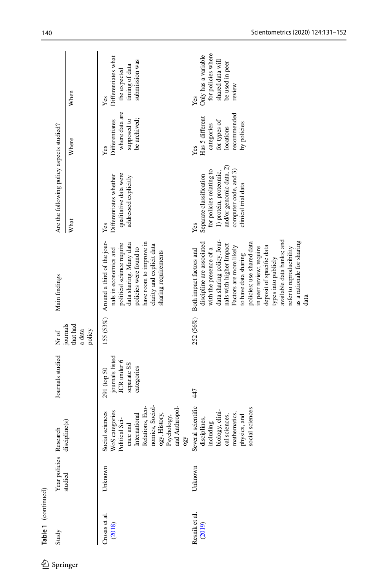| Are the following policy aspects studied?<br>Main findings<br>Nr of<br>Journals studied | What<br>journals<br>that had<br>a data<br>policy | qualitative data were<br>Differentiates whether<br>addressed explicitly<br>Yes<br>155 (53%) Around a third of the jour-<br>have room to improve in<br>data sharing. Many data<br>political science require<br>clarity and explicit data<br>policies were found to<br>nals in economics and<br>sharing requirements<br>journals listed<br>JCR under 6<br>separate SS<br>categories<br>291 (top 50 | and/or genomic data, 2)<br>for policies relating to<br>computer code, and 3)<br>1) protein, proteomic,<br>Separate classification<br>clinical trial data<br>Yes<br>data sharing policy. Jour-<br>available data banks; and<br>policies; use shared data<br>as a rationale for sharing<br>discipline are associated<br>nals with higher Impact<br>Factors are more likely<br>deposit of specific data<br>in peer review; require<br>refer to reproducibility<br>with the presence of a<br>252 (56%) Both impact factors and<br>to have data sharing<br>types into publicly<br>data<br>447 |
|-----------------------------------------------------------------------------------------|--------------------------------------------------|--------------------------------------------------------------------------------------------------------------------------------------------------------------------------------------------------------------------------------------------------------------------------------------------------------------------------------------------------------------------------------------------------|------------------------------------------------------------------------------------------------------------------------------------------------------------------------------------------------------------------------------------------------------------------------------------------------------------------------------------------------------------------------------------------------------------------------------------------------------------------------------------------------------------------------------------------------------------------------------------------|
| Year policies Research<br>Table 1 (continued)                                           | discipline(s)<br>studied                         | nomics, Sociol-<br>and Anthropol-<br>Relations, Eco-<br>Social sciences<br>WoS categories<br>Political Sci-<br>International<br>ogy, History,<br>Psychology,<br>ence and<br>0g <sub>0</sub><br>Unknown<br>Crosas et al.<br>(2018)                                                                                                                                                                | Several scientific<br>social sciences<br>biology, clini-<br>mathematics,<br>cal sciences,<br>physics, and<br>disciplines,<br>including<br>Unknown<br>Resnik et al.<br>(2019)                                                                                                                                                                                                                                                                                                                                                                                                             |

 $\underline{\mathcal{D}}$  Springer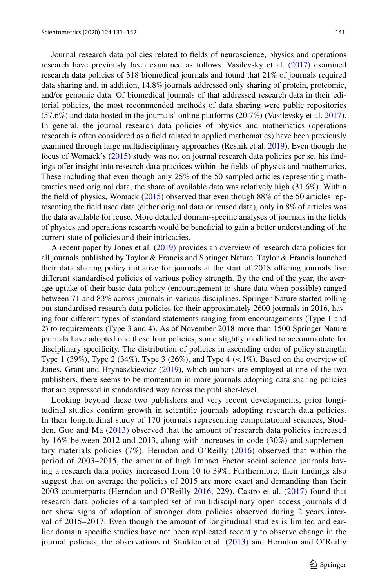Journal research data policies related to felds of neuroscience, physics and operations research have previously been examined as follows. Vasilevsky et al. ([2017\)](#page-21-8) examined research data policies of 318 biomedical journals and found that 21% of journals required data sharing and, in addition, 14.8% journals addressed only sharing of protein, proteomic, and/or genomic data. Of biomedical journals of that addressed research data in their editorial policies, the most recommended methods of data sharing were public repositories (57.6%) and data hosted in the journals' online platforms (20.7%) (Vasilevsky et al. [2017](#page-21-8)). In general, the journal research data policies of physics and mathematics (operations research is often considered as a feld related to applied mathematics) have been previously examined through large multidisciplinary approaches (Resnik et al. [2019\)](#page-21-1). Even though the focus of Womack's [\(2015](#page-21-13)) study was not on journal research data policies per se, his fndings ofer insight into research data practices within the felds of physics and mathematics. These including that even though only 25% of the 50 sampled articles representing mathematics used original data, the share of available data was relatively high (31.6%). Within the feld of physics, Womack [\(2015](#page-21-13)) observed that even though 88% of the 50 articles representing the feld used data (either original data or reused data), only in 8% of articles was the data available for reuse. More detailed domain-specifc analyses of journals in the felds of physics and operations research would be benefcial to gain a better understanding of the current state of policies and their intricacies.

A recent paper by Jones et al. [\(2019](#page-20-6)) provides an overview of research data policies for all journals published by Taylor & Francis and Springer Nature. Taylor & Francis launched their data sharing policy initiative for journals at the start of 2018 ofering journals fve diferent standardised policies of various policy strength. By the end of the year, the average uptake of their basic data policy (encouragement to share data when possible) ranged between 71 and 83% across journals in various disciplines. Springer Nature started rolling out standardised research data policies for their approximately 2600 journals in 2016, having four diferent types of standard statements ranging from encouragements (Type 1 and 2) to requirements (Type 3 and 4). As of November 2018 more than 1500 Springer Nature journals have adopted one these four policies, some slightly modifed to accommodate for disciplinary specifcity. The distribution of policies in ascending order of policy strength: Type 1 (39%), Type 2 (34%), Type 3 (26%), and Type 4 ( $\lt 1\%$ ). Based on the overview of Jones, Grant and Hrynaszkiewicz [\(2019](#page-20-6)), which authors are employed at one of the two publishers, there seems to be momentum in more journals adopting data sharing policies that are expressed in standardised way across the publisher-level.

Looking beyond these two publishers and very recent developments, prior longitudinal studies confrm growth in scientifc journals adopting research data policies. In their longitudinal study of 170 journals representing computational sciences, Stodden, Guo and Ma [\(2013](#page-21-11)) observed that the amount of research data policies increased by 16% between 2012 and 2013, along with increases in code (30%) and supplementary materials policies (7%). Herndon and O'Reilly ([2016](#page-20-2)) observed that within the period of 2003–2015, the amount of high Impact Factor social science journals having a research data policy increased from 10 to 39%. Furthermore, their fndings also suggest that on average the policies of 2015 are more exact and demanding than their 2003 counterparts (Herndon and O'Reilly [2016](#page-20-2), 229). Castro et al. [\(2017\)](#page-20-5) found that research data policies of a sampled set of multidisciplinary open access journals did not show signs of adoption of stronger data policies observed during 2 years interval of 2015–2017. Even though the amount of longitudinal studies is limited and earlier domain specifc studies have not been replicated recently to observe change in the journal policies, the observations of Stodden et al. ([2013](#page-21-11)) and Herndon and O'Reilly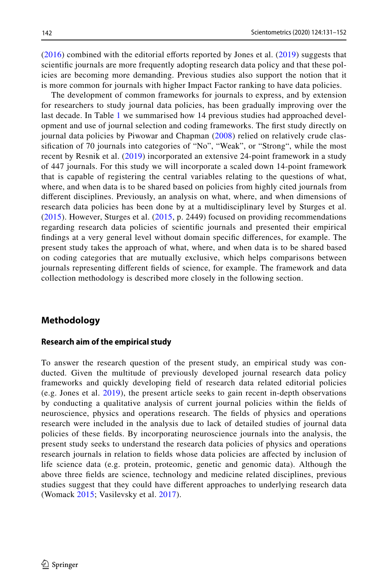$(2016)$  $(2016)$  combined with the editorial efforts reported by Jones et al.  $(2019)$  $(2019)$  suggests that scientifc journals are more frequently adopting research data policy and that these policies are becoming more demanding. Previous studies also support the notion that it is more common for journals with higher Impact Factor ranking to have data policies.

The development of common frameworks for journals to express, and by extension for researchers to study journal data policies, has been gradually improving over the last decade. In Table [1](#page-3-0) we summarised how 14 previous studies had approached development and use of journal selection and coding frameworks. The frst study directly on journal data policies by Piwowar and Chapman [\(2008](#page-21-0)) relied on relatively crude classifcation of 70 journals into categories of "No", "Weak", or "Strong", while the most recent by Resnik et al. ([2019](#page-21-1)) incorporated an extensive 24-point framework in a study of 447 journals. For this study we will incorporate a scaled down 14-point framework that is capable of registering the central variables relating to the questions of what, where, and when data is to be shared based on policies from highly cited journals from diferent disciplines. Previously, an analysis on what, where, and when dimensions of research data policies has been done by at a multidisciplinary level by Sturges et al. ([2015\)](#page-21-9). However, Sturges et al. ([2015](#page-21-9), p. 2449) focused on providing recommendations regarding research data policies of scientifc journals and presented their empirical fndings at a very general level without domain specifc diferences, for example. The present study takes the approach of what, where, and when data is to be shared based on coding categories that are mutually exclusive, which helps comparisons between journals representing diferent felds of science, for example. The framework and data collection methodology is described more closely in the following section.

### **Methodology**

### **Research aim of the empirical study**

To answer the research question of the present study, an empirical study was conducted. Given the multitude of previously developed journal research data policy frameworks and quickly developing feld of research data related editorial policies (e.g. Jones et al. [2019](#page-20-6)), the present article seeks to gain recent in-depth observations by conducting a qualitative analysis of current journal policies within the felds of neuroscience, physics and operations research. The felds of physics and operations research were included in the analysis due to lack of detailed studies of journal data policies of these felds. By incorporating neuroscience journals into the analysis, the present study seeks to understand the research data policies of physics and operations research journals in relation to felds whose data policies are afected by inclusion of life science data (e.g. protein, proteomic, genetic and genomic data). Although the above three felds are science, technology and medicine related disciplines, previous studies suggest that they could have diferent approaches to underlying research data (Womack [2015](#page-21-13); Vasilevsky et al. [2017\)](#page-21-8).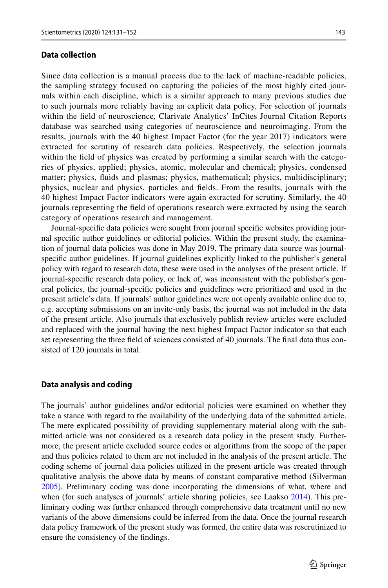Since data collection is a manual process due to the lack of machine-readable policies, the sampling strategy focused on capturing the policies of the most highly cited journals within each discipline, which is a similar approach to many previous studies due to such journals more reliably having an explicit data policy. For selection of journals within the feld of neuroscience, Clarivate Analytics' InCites Journal Citation Reports database was searched using categories of neuroscience and neuroimaging. From the results, journals with the 40 highest Impact Factor (for the year 2017) indicators were extracted for scrutiny of research data policies. Respectively, the selection journals within the feld of physics was created by performing a similar search with the categories of physics, applied; physics, atomic, molecular and chemical; physics, condensed

matter; physics, fuids and plasmas; physics, mathematical; physics, multidisciplinary; physics, nuclear and physics, particles and felds. From the results, journals with the 40 highest Impact Factor indicators were again extracted for scrutiny. Similarly, the 40 journals representing the feld of operations research were extracted by using the search category of operations research and management.

Journal-specifc data policies were sought from journal specifc websites providing journal specifc author guidelines or editorial policies. Within the present study, the examination of journal data policies was done in May 2019. The primary data source was journalspecifc author guidelines. If journal guidelines explicitly linked to the publisher's general policy with regard to research data, these were used in the analyses of the present article. If journal-specifc research data policy, or lack of, was inconsistent with the publisher's general policies, the journal-specifc policies and guidelines were prioritized and used in the present article's data. If journals' author guidelines were not openly available online due to, e.g. accepting submissions on an invite-only basis, the journal was not included in the data of the present article. Also journals that exclusively publish review articles were excluded and replaced with the journal having the next highest Impact Factor indicator so that each set representing the three feld of sciences consisted of 40 journals. The fnal data thus consisted of 120 journals in total.

#### **Data analysis and coding**

The journals' author guidelines and/or editorial policies were examined on whether they take a stance with regard to the availability of the underlying data of the submitted article. The mere explicated possibility of providing supplementary material along with the submitted article was not considered as a research data policy in the present study. Furthermore, the present article excluded source codes or algorithms from the scope of the paper and thus policies related to them are not included in the analysis of the present article. The coding scheme of journal data policies utilized in the present article was created through qualitative analysis the above data by means of constant comparative method (Silverman [2005\)](#page-21-14). Preliminary coding was done incorporating the dimensions of what, where and when (for such analyses of journals' article sharing policies, see Laakso [2014\)](#page-21-15). This preliminary coding was further enhanced through comprehensive data treatment until no new variants of the above dimensions could be inferred from the data. Once the journal research data policy framework of the present study was formed, the entire data was rescrutinized to ensure the consistency of the fndings.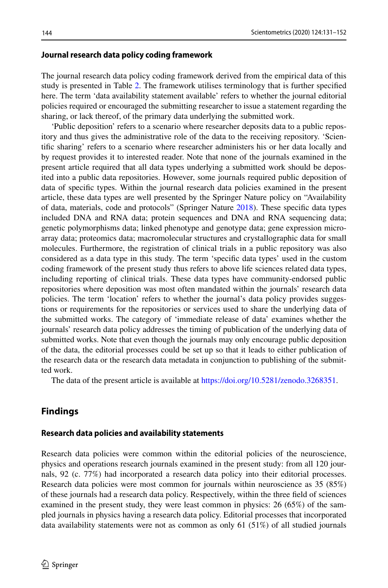#### **Journal research data policy coding framework**

The journal research data policy coding framework derived from the empirical data of this study is presented in Table [2.](#page-15-0) The framework utilises terminology that is further specifed here. The term 'data availability statement available' refers to whether the journal editorial policies required or encouraged the submitting researcher to issue a statement regarding the sharing, or lack thereof, of the primary data underlying the submitted work.

'Public deposition' refers to a scenario where researcher deposits data to a public repository and thus gives the administrative role of the data to the receiving repository. 'Scientifc sharing' refers to a scenario where researcher administers his or her data locally and by request provides it to interested reader. Note that none of the journals examined in the present article required that all data types underlying a submitted work should be deposited into a public data repositories. However, some journals required public deposition of data of specifc types. Within the journal research data policies examined in the present article, these data types are well presented by the Springer Nature policy on "Availability of data, materials, code and protocols" (Springer Nature [2018\)](#page-21-16). These specifc data types included DNA and RNA data; protein sequences and DNA and RNA sequencing data; genetic polymorphisms data; linked phenotype and genotype data; gene expression microarray data; proteomics data; macromolecular structures and crystallographic data for small molecules. Furthermore, the registration of clinical trials in a public repository was also considered as a data type in this study. The term 'specifc data types' used in the custom coding framework of the present study thus refers to above life sciences related data types, including reporting of clinical trials. These data types have community-endorsed public repositories where deposition was most often mandated within the journals' research data policies. The term 'location' refers to whether the journal's data policy provides suggestions or requirements for the repositories or services used to share the underlying data of the submitted works. The category of 'immediate release of data' examines whether the journals' research data policy addresses the timing of publication of the underlying data of submitted works. Note that even though the journals may only encourage public deposition of the data, the editorial processes could be set up so that it leads to either publication of the research data or the research data metadata in conjunction to publishing of the submitted work.

The data of the present article is available at [https://doi.org/10.5281/zenodo.3268351.](https://doi.org/10.5281/zenodo.3268351)

# **Findings**

#### **Research data policies and availability statements**

Research data policies were common within the editorial policies of the neuroscience, physics and operations research journals examined in the present study: from all 120 journals, 92 (c. 77%) had incorporated a research data policy into their editorial processes. Research data policies were most common for journals within neuroscience as 35 (85%) of these journals had a research data policy. Respectively, within the three feld of sciences examined in the present study, they were least common in physics: 26 (65%) of the sampled journals in physics having a research data policy. Editorial processes that incorporated data availability statements were not as common as only 61 (51%) of all studied journals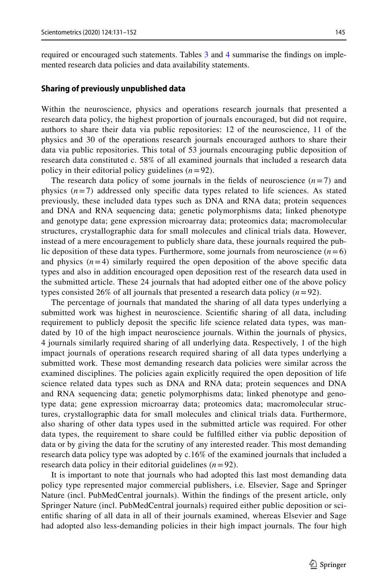required or encouraged such statements. Tables [3](#page-16-0) and [4](#page-16-1) summarise the fndings on implemented research data policies and data availability statements.

#### **Sharing of previously unpublished data**

Within the neuroscience, physics and operations research journals that presented a research data policy, the highest proportion of journals encouraged, but did not require, authors to share their data via public repositories: 12 of the neuroscience, 11 of the physics and 30 of the operations research journals encouraged authors to share their data via public repositories. This total of 53 journals encouraging public deposition of research data constituted c. 58% of all examined journals that included a research data policy in their editorial policy guidelines  $(n=92)$ .

The research data policy of some journals in the fields of neuroscience  $(n=7)$  and physics  $(n=7)$  addressed only specific data types related to life sciences. As stated previously, these included data types such as DNA and RNA data; protein sequences and DNA and RNA sequencing data; genetic polymorphisms data; linked phenotype and genotype data; gene expression microarray data; proteomics data; macromolecular structures, crystallographic data for small molecules and clinical trials data. However, instead of a mere encouragement to publicly share data, these journals required the public deposition of these data types. Furthermore, some journals from neuroscience  $(n=6)$ and physics  $(n=4)$  similarly required the open deposition of the above specific data types and also in addition encouraged open deposition rest of the research data used in the submitted article. These 24 journals that had adopted either one of the above policy types consisted 26% of all journals that presented a research data policy  $(n=92)$ .

The percentage of journals that mandated the sharing of all data types underlying a submitted work was highest in neuroscience. Scientifc sharing of all data, including requirement to publicly deposit the specifc life science related data types, was mandated by 10 of the high impact neuroscience journals. Within the journals of physics, 4 journals similarly required sharing of all underlying data. Respectively, 1 of the high impact journals of operations research required sharing of all data types underlying a submitted work. These most demanding research data policies were similar across the examined disciplines. The policies again explicitly required the open deposition of life science related data types such as DNA and RNA data; protein sequences and DNA and RNA sequencing data; genetic polymorphisms data; linked phenotype and genotype data; gene expression microarray data; proteomics data; macromolecular structures, crystallographic data for small molecules and clinical trials data. Furthermore, also sharing of other data types used in the submitted article was required. For other data types, the requirement to share could be fulflled either via public deposition of data or by giving the data for the scrutiny of any interested reader. This most demanding research data policy type was adopted by c.16% of the examined journals that included a research data policy in their editorial guidelines  $(n=92)$ .

It is important to note that journals who had adopted this last most demanding data policy type represented major commercial publishers, i.e. Elsevier, Sage and Springer Nature (incl. PubMedCentral journals). Within the fndings of the present article, only Springer Nature (incl. PubMedCentral journals) required either public deposition or scientifc sharing of all data in all of their journals examined, whereas Elsevier and Sage had adopted also less-demanding policies in their high impact journals. The four high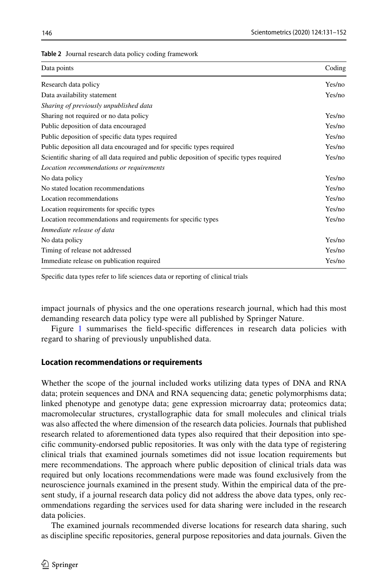<span id="page-15-0"></span>

| <b>Table 2</b> Journal research data policy coding framework |  |
|--------------------------------------------------------------|--|
|--------------------------------------------------------------|--|

| Data points                                                                              | Coding |
|------------------------------------------------------------------------------------------|--------|
| Research data policy                                                                     | Yes/no |
| Data availability statement                                                              | Yes/no |
| Sharing of previously unpublished data                                                   |        |
| Sharing not required or no data policy                                                   | Yes/no |
| Public deposition of data encouraged                                                     | Yes/no |
| Public deposition of specific data types required                                        | Yes/no |
| Public deposition all data encouraged and for specific types required                    | Yes/no |
| Scientific sharing of all data required and public deposition of specific types required | Yes/no |
| Location recommendations or requirements                                                 |        |
| No data policy                                                                           | Yes/no |
| No stated location recommendations                                                       | Yes/no |
| Location recommendations                                                                 | Yes/no |
| Location requirements for specific types                                                 | Yes/no |
| Location recommendations and requirements for specific types                             | Yes/no |
| Immediate release of data                                                                |        |
| No data policy                                                                           | Yes/no |
| Timing of release not addressed                                                          | Yes/no |
| Immediate release on publication required                                                | Yes/no |

Specifc data types refer to life sciences data or reporting of clinical trials

impact journals of physics and the one operations research journal, which had this most demanding research data policy type were all published by Springer Nature.

Figure [1](#page-17-0) summarises the field-specific differences in research data policies with regard to sharing of previously unpublished data.

#### **Location recommendations or requirements**

Whether the scope of the journal included works utilizing data types of DNA and RNA data; protein sequences and DNA and RNA sequencing data; genetic polymorphisms data; linked phenotype and genotype data; gene expression microarray data; proteomics data; macromolecular structures, crystallographic data for small molecules and clinical trials was also afected the where dimension of the research data policies. Journals that published research related to aforementioned data types also required that their deposition into specifc community-endorsed public repositories. It was only with the data type of registering clinical trials that examined journals sometimes did not issue location requirements but mere recommendations. The approach where public deposition of clinical trials data was required but only locations recommendations were made was found exclusively from the neuroscience journals examined in the present study. Within the empirical data of the present study, if a journal research data policy did not address the above data types, only recommendations regarding the services used for data sharing were included in the research data policies.

The examined journals recommended diverse locations for research data sharing, such as discipline specifc repositories, general purpose repositories and data journals. Given the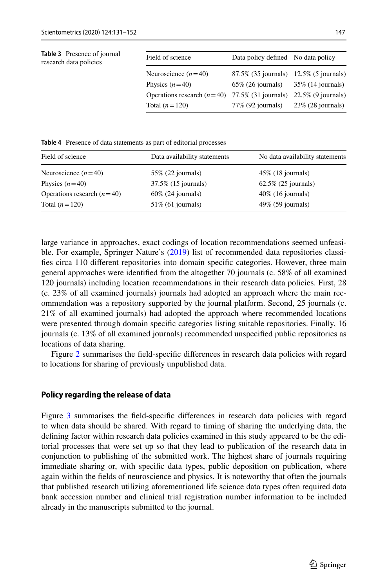<span id="page-16-0"></span>

| <b>Table 3</b> Presence of journal<br>research data policies | Field of science                                                    | Data policy defined No data policy        |  |
|--------------------------------------------------------------|---------------------------------------------------------------------|-------------------------------------------|--|
|                                                              | Neuroscience $(n=40)$                                               | 87.5% (35 journals) 12.5% (5 journals)    |  |
|                                                              | Physics $(n=40)$                                                    | $65\%$ (26 journals) $35\%$ (14 journals) |  |
|                                                              | Operations research $(n=40)$ 77.5% (31 journals) 22.5% (9 journals) |                                           |  |
|                                                              | Total $(n=120)$                                                     | 77% (92 journals) 23% (28 journals)       |  |
|                                                              |                                                                     |                                           |  |

<span id="page-16-1"></span>**Table 4** Presence of data statements as part of editorial processes

| Field of science             | Data availability statements | No data availability statements |
|------------------------------|------------------------------|---------------------------------|
| Neuroscience $(n=40)$        | $55\%$ (22 journals)         | $45\%$ (18 journals)            |
| Physics $(n=40)$             | 37.5% (15 journals)          | $62.5\%$ (25 journals)          |
| Operations research $(n=40)$ | $60\%$ (24 journals)         | $40\%$ (16 journals)            |
| Total $(n=120)$              | $51\%$ (61 journals)         | $49\%$ (59 journals)            |

large variance in approaches, exact codings of location recommendations seemed unfeasible. For example, Springer Nature's ([2019\)](#page-21-16) list of recommended data repositories classifes circa 110 diferent repositories into domain specifc categories. However, three main general approaches were identifed from the altogether 70 journals (c. 58% of all examined 120 journals) including location recommendations in their research data policies. First, 28 (c. 23% of all examined journals) journals had adopted an approach where the main recommendation was a repository supported by the journal platform. Second, 25 journals (c. 21% of all examined journals) had adopted the approach where recommended locations were presented through domain specifc categories listing suitable repositories. Finally, 16 journals (c. 13% of all examined journals) recommended unspecifed public repositories as locations of data sharing.

Figure [2](#page-18-0) summarises the feld-specifc diferences in research data policies with regard to locations for sharing of previously unpublished data.

#### **Policy regarding the release of data**

Figure [3](#page-18-1) summarises the feld-specifc diferences in research data policies with regard to when data should be shared. With regard to timing of sharing the underlying data, the defning factor within research data policies examined in this study appeared to be the editorial processes that were set up so that they lead to publication of the research data in conjunction to publishing of the submitted work. The highest share of journals requiring immediate sharing or, with specifc data types, public deposition on publication, where again within the felds of neuroscience and physics. It is noteworthy that often the journals that published research utilizing aforementioned life science data types often required data bank accession number and clinical trial registration number information to be included already in the manuscripts submitted to the journal.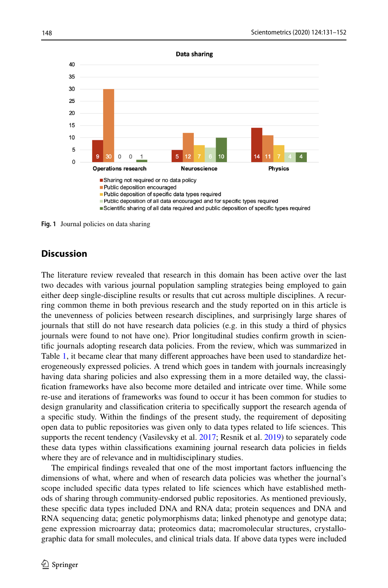

<span id="page-17-0"></span>**Fig. 1** Journal policies on data sharing

# **Discussion**

The literature review revealed that research in this domain has been active over the last two decades with various journal population sampling strategies being employed to gain either deep single-discipline results or results that cut across multiple disciplines. A recurring common theme in both previous research and the study reported on in this article is the unevenness of policies between research disciplines, and surprisingly large shares of journals that still do not have research data policies (e.g. in this study a third of physics journals were found to not have one). Prior longitudinal studies confrm growth in scientifc journals adopting research data policies. From the review, which was summarized in Table [1](#page-3-0), it became clear that many diferent approaches have been used to standardize heterogeneously expressed policies. A trend which goes in tandem with journals increasingly having data sharing policies and also expressing them in a more detailed way, the classifcation frameworks have also become more detailed and intricate over time. While some re-use and iterations of frameworks was found to occur it has been common for studies to design granularity and classifcation criteria to specifcally support the research agenda of a specifc study. Within the fndings of the present study, the requirement of depositing open data to public repositories was given only to data types related to life sciences. This supports the recent tendency (Vasilevsky et al. [2017;](#page-21-8) Resnik et al. [2019](#page-21-1)) to separately code these data types within classifcations examining journal research data policies in felds where they are of relevance and in multidisciplinary studies.

The empirical fndings revealed that one of the most important factors infuencing the dimensions of what, where and when of research data policies was whether the journal's scope included specifc data types related to life sciences which have established methods of sharing through community-endorsed public repositories. As mentioned previously, these specifc data types included DNA and RNA data; protein sequences and DNA and RNA sequencing data; genetic polymorphisms data; linked phenotype and genotype data; gene expression microarray data; proteomics data; macromolecular structures, crystallographic data for small molecules, and clinical trials data. If above data types were included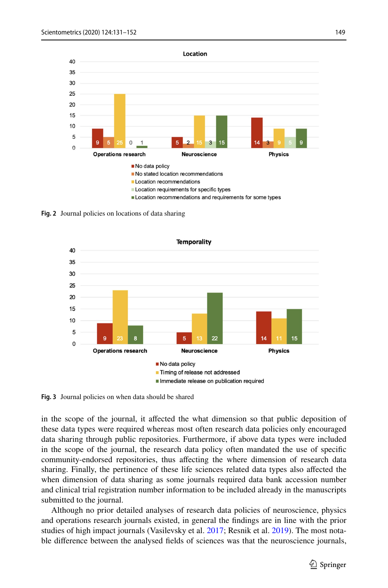

<span id="page-18-0"></span>**Fig. 2** Journal policies on locations of data sharing



<span id="page-18-1"></span>**Fig. 3** Journal policies on when data should be shared

in the scope of the journal, it afected the what dimension so that public deposition of these data types were required whereas most often research data policies only encouraged data sharing through public repositories. Furthermore, if above data types were included in the scope of the journal, the research data policy often mandated the use of specifc community-endorsed repositories, thus afecting the where dimension of research data sharing. Finally, the pertinence of these life sciences related data types also afected the when dimension of data sharing as some journals required data bank accession number and clinical trial registration number information to be included already in the manuscripts submitted to the journal.

Although no prior detailed analyses of research data policies of neuroscience, physics and operations research journals existed, in general the fndings are in line with the prior studies of high impact journals (Vasilevsky et al. [2017](#page-21-8); Resnik et al. [2019](#page-21-1)). The most notable diference between the analysed felds of sciences was that the neuroscience journals,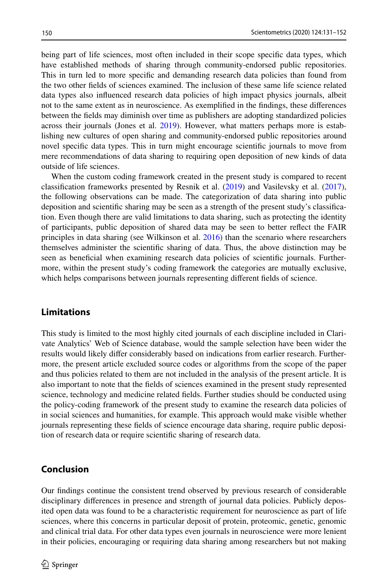being part of life sciences, most often included in their scope specifc data types, which have established methods of sharing through community-endorsed public repositories. This in turn led to more specifc and demanding research data policies than found from the two other felds of sciences examined. The inclusion of these same life science related data types also infuenced research data policies of high impact physics journals, albeit not to the same extent as in neuroscience. As exemplifed in the fndings, these diferences between the felds may diminish over time as publishers are adopting standardized policies across their journals (Jones et al. [2019](#page-20-6)). However, what matters perhaps more is establishing new cultures of open sharing and community-endorsed public repositories around novel specifc data types. This in turn might encourage scientifc journals to move from mere recommendations of data sharing to requiring open deposition of new kinds of data outside of life sciences.

When the custom coding framework created in the present study is compared to recent classifcation frameworks presented by Resnik et al. [\(2019](#page-21-1)) and Vasilevsky et al. [\(2017](#page-21-8)), the following observations can be made. The categorization of data sharing into public deposition and scientifc sharing may be seen as a strength of the present study's classifcation. Even though there are valid limitations to data sharing, such as protecting the identity of participants, public deposition of shared data may be seen to better refect the FAIR principles in data sharing (see Wilkinson et al. [2016](#page-21-3)) than the scenario where researchers themselves administer the scientifc sharing of data. Thus, the above distinction may be seen as benefcial when examining research data policies of scientifc journals. Furthermore, within the present study's coding framework the categories are mutually exclusive, which helps comparisons between journals representing diferent felds of science.

## **Limitations**

This study is limited to the most highly cited journals of each discipline included in Clarivate Analytics' Web of Science database, would the sample selection have been wider the results would likely difer considerably based on indications from earlier research. Furthermore, the present article excluded source codes or algorithms from the scope of the paper and thus policies related to them are not included in the analysis of the present article. It is also important to note that the felds of sciences examined in the present study represented science, technology and medicine related felds. Further studies should be conducted using the policy-coding framework of the present study to examine the research data policies of in social sciences and humanities, for example. This approach would make visible whether journals representing these felds of science encourage data sharing, require public deposition of research data or require scientifc sharing of research data.

## **Conclusion**

Our fndings continue the consistent trend observed by previous research of considerable disciplinary diferences in presence and strength of journal data policies. Publicly deposited open data was found to be a characteristic requirement for neuroscience as part of life sciences, where this concerns in particular deposit of protein, proteomic, genetic, genomic and clinical trial data. For other data types even journals in neuroscience were more lenient in their policies, encouraging or requiring data sharing among researchers but not making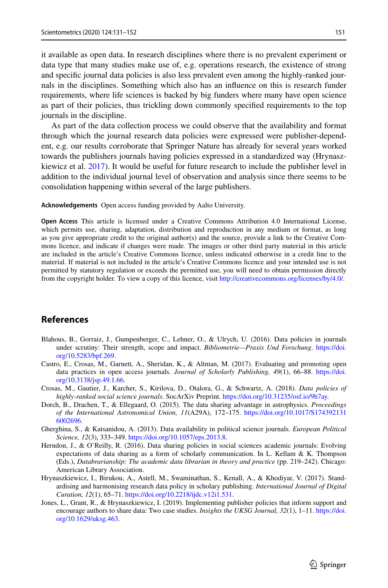it available as open data. In research disciplines where there is no prevalent experiment or data type that many studies make use of, e.g. operations research, the existence of strong and specifc journal data policies is also less prevalent even among the highly-ranked journals in the disciplines. Something which also has an infuence on this is research funder requirements, where life sciences is backed by big funders where many have open science as part of their policies, thus trickling down commonly specifed requirements to the top journals in the discipline.

As part of the data collection process we could observe that the availability and format through which the journal research data policies were expressed were publisher-dependent, e.g. our results corroborate that Springer Nature has already for several years worked towards the publishers journals having policies expressed in a standardized way (Hrynaszkiewicz et al. [2017\)](#page-20-7). It would be useful for future research to include the publisher level in addition to the individual journal level of observation and analysis since there seems to be consolidation happening within several of the large publishers.

**Acknowledgements** Open access funding provided by Aalto University.

**Open Access** This article is licensed under a Creative Commons Attribution 4.0 International License, which permits use, sharing, adaptation, distribution and reproduction in any medium or format, as long as you give appropriate credit to the original author(s) and the source, provide a link to the Creative Commons licence, and indicate if changes were made. The images or other third party material in this article are included in the article's Creative Commons licence, unless indicated otherwise in a credit line to the material. If material is not included in the article's Creative Commons licence and your intended use is not permitted by statutory regulation or exceeds the permitted use, you will need to obtain permission directly from the copyright holder. To view a copy of this licence, visit [http://creativecommons.org/licenses/by/4.0/.](http://creativecommons.org/licenses/by/4.0/)

# **References**

- <span id="page-20-4"></span>Blahous, B., Gorraiz, J., Gumpenberger, C., Lehner, O., & Ulrych, U. (2016). Data policies in journals under scrutiny: Their strength, scope and impact. *Bibliometrie—Praxis Und Forschung*. [https://doi.](https://doi.org/10.5283/bpf.269) [org/10.5283/bpf.269](https://doi.org/10.5283/bpf.269).
- <span id="page-20-5"></span>Castro, E., Crosas, M., Garnett, A., Sheridan, K., & Altman, M. (2017). Evaluating and promoting open data practices in open access journals. *Journal of Scholarly Publishing, 49*(1), 66–88. [https://doi.](https://doi.org/10.3138/jsp.49.1.66) [org/10.3138/jsp.49.1.66](https://doi.org/10.3138/jsp.49.1.66).
- <span id="page-20-3"></span>Crosas, M., Gautier, J., Karcher, S., Kirilova, D., Otalora, G., & Schwartz, A. (2018). *Data policies of highly-ranked social science journals*. SocArXiv Preprint. [https://doi.org/10.31235/osf.io/9h7ay.](https://doi.org/10.31235/osf.io/9h7ay)
- <span id="page-20-0"></span>Dorch, B., Drachen, T., & Ellegaard, O. (2015). The data sharing advantage in astrophysics. *Proceedings of the International Astronomical Union, 11*(A29A), 172–175. [https://doi.org/10.1017/S174392131](https://doi.org/10.1017/S1743921316002696) [6002696.](https://doi.org/10.1017/S1743921316002696)
- <span id="page-20-1"></span>Gherghina, S., & Katsanidou, A. (2013). Data availability in political science journals. *European Political Science, 12*(3), 333–349. [https://doi.org/10.1057/eps.2013.8.](https://doi.org/10.1057/eps.2013.8)
- <span id="page-20-2"></span>Herndon, J., & O'Reilly, R. (2016). Data sharing policies in social sciences academic journals: Evolving expectations of data sharing as a form of scholarly communication. In L. Kellam  $\& K$ . Thompson (Eds.), *Databrarianship: The academic data librarian in theory and practice* (pp. 219–242). Chicago: American Library Association.
- <span id="page-20-7"></span>Hrynaszkiewicz, I., Birukou, A., Astell, M., Swaminathan, S., Kenall, A., & Khodiyar, V. (2017). Standardising and harmonising research data policy in scholary publishing. *International Journal of Digital Curation, 12*(1), 65–71. <https://doi.org/10.2218/ijdc.v12i1.531>.
- <span id="page-20-6"></span>Jones, L., Grant, R., & Hrynaszkiewicz, I. (2019). Implementing publisher policies that inform support and encourage authors to share data: Two case studies. *Insights the UKSG Journal, 32*(1), 1–11. [https://doi.](https://doi.org/10.1629/uksg.463) [org/10.1629/uksg.463.](https://doi.org/10.1629/uksg.463)